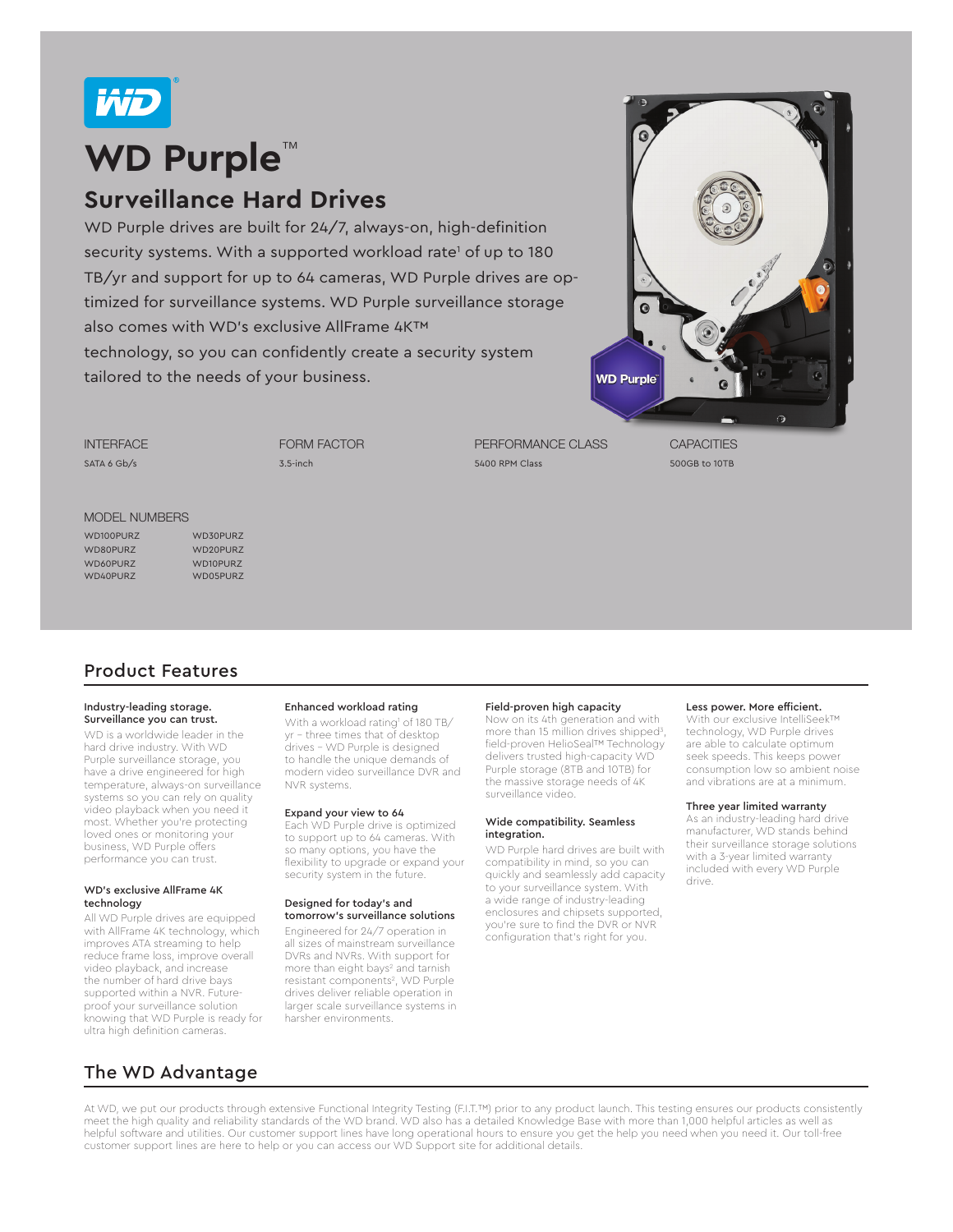

# **WD Purple**™

## **Surveillance Hard Drives**

WD Purple drives are built for 24/7, always-on, high-definition security systems. With a supported workload rate<sup>1</sup> of up to 180 TB/yr and support for up to 64 cameras, WD Purple drives are optimized for surveillance systems. WD Purple surveillance storage also comes with WD's exclusive AllFrame 4K™ technology, so you can confidently create a security system tailored to the needs of your business.



**INTERFACE** SATA 6 Gb/s

FORM FACTOR 3.5-inch

PERFORMANCE CLASS 5400 RPM Class

**CAPACITIES** 500GB to 10TB

#### MODEL NUMBERS

WD100PURZ WD30PURZ WD80PURZ WD20PURZ WD60PURZ WD10PURZ WD40PURZ WD05PURZ

### Product Features

#### Industry-leading storage. Surveillance you can trust.

WD is a worldwide leader in the hard drive industry. With WD Purple surveillance storage, you have a drive engineered for high temperature, always-on surveillance systems so you can rely on quality video playback when you need it most. Whether you're protecting loved ones or monitoring your business, WD Purple offers performance you can trust.

#### WD's exclusive AllFrame 4K technology

All WD Purple drives are equipped with AllFrame 4K technology, which improves ATA streaming to help reduce frame loss, improve overall video playback, and increase the number of hard drive bays supported within a NVR. Futureproof your surveillance solution knowing that WD Purple is ready for ultra high definition cameras.

#### Enhanced workload rating

With a workload rating' of 180 TB/ yr - three times that of desktop drives - WD Purple is designed to handle the unique demands of modern video surveillance DVR and NVR systems.

#### Expand your view to 64

Each WD Purple drive is optimized to support up to 64 cameras. With so many options, you have the flexibility to upgrade or expand your security system in the future.

#### Designed for today's and tomorrow's surveillance solutions

Engineered for 24/7 operation in all sizes of mainstream surveillance DVRs and NVRs. With support for more than eight bays<sup>2</sup> and tarnish resistant components<sup>2</sup>, WD Purple drives deliver reliable operation in larger scale surveillance systems in harsher environments.

#### Field-proven high capacity

Now on its 4th generation and with more than 15 million drives shipped3 , field-proven HelioSeal™ Technology delivers trusted high-capacity WD Purple storage (8TB and 10TB) for the massive storage needs of 4K surveillance video.

#### Wide compatibility. Seamless integration.

WD Purple hard drives are built with compatibility in mind, so you can quickly and seamlessly add capacity to your surveillance system. With a wide range of industry-leading enclosures and chipsets supported, you're sure to find the DVR or NVR configuration that's right for you.

#### Less power. More efficient.

With our exclusive IntelliSeek™ technology, WD Purple drives are able to calculate optimum seek speeds. This keeps power consumption low so ambient noise and vibrations are at a minimum.

#### Three year limited warranty

As an industry-leading hard drive manufacturer, WD stands behind their surveillance storage solutions with a 3-year limited warranty included with every WD Purple drive.

The WD Advantage

At WD, we put our products through extensive Functional Integrity Testing (F.I.T.™) prior to any product launch. This testing ensures our products consistently meet the high quality and reliability standards of the WD brand. WD also has a detailed Knowledge Base with more than 1,000 helpful articles as well as helpful software and utilities. Our customer support lines have long operational hours to ensure you get the help you need when you need it. Our toll-free customer support lines are here to help or you can access our WD Support site for additional details.